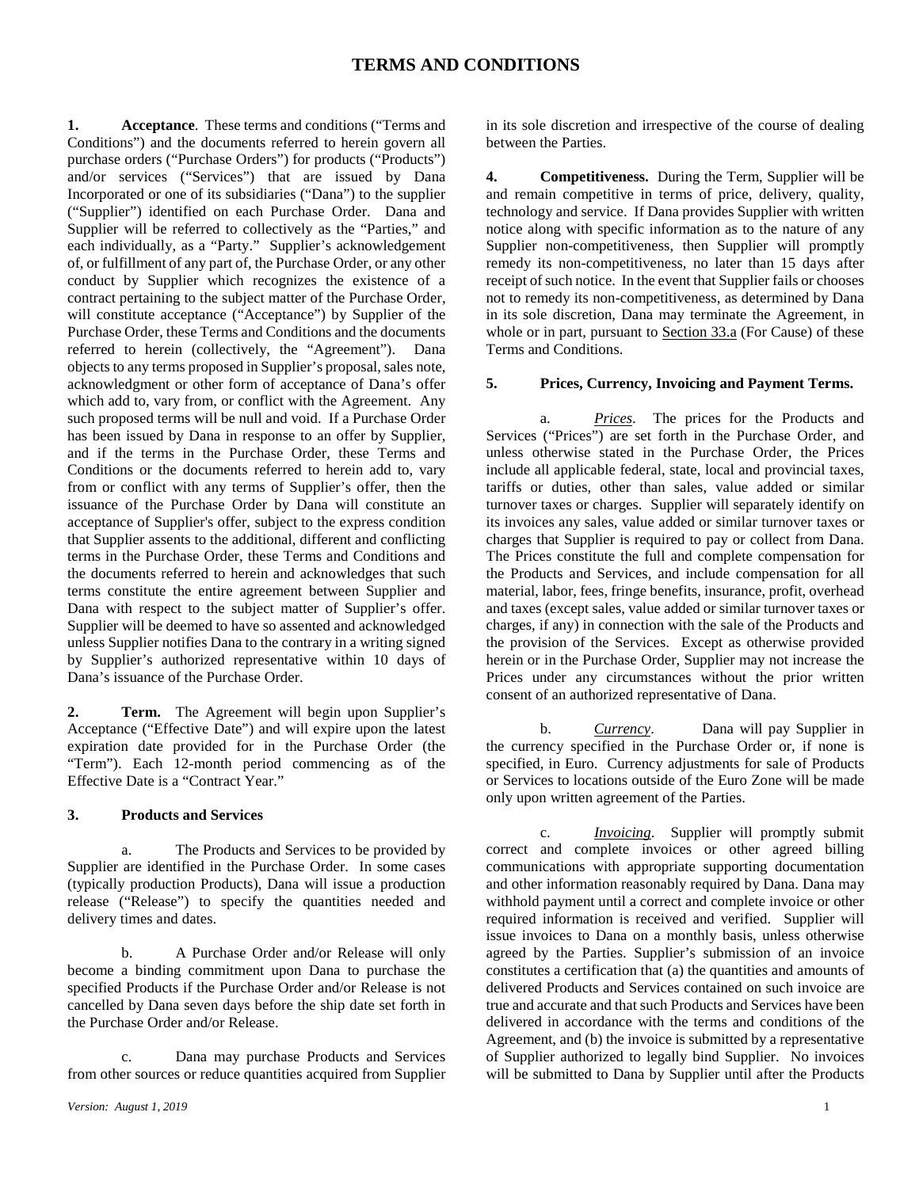**1. Acceptance**. These terms and conditions ("Terms and Conditions") and the documents referred to herein govern all purchase orders ("Purchase Orders") for products ("Products") and/or services ("Services") that are issued by Dana Incorporated or one of its subsidiaries ("Dana") to the supplier ("Supplier") identified on each Purchase Order. Dana and Supplier will be referred to collectively as the "Parties," and each individually, as a "Party." Supplier's acknowledgement of, or fulfillment of any part of, the Purchase Order, or any other conduct by Supplier which recognizes the existence of a contract pertaining to the subject matter of the Purchase Order, will constitute acceptance ("Acceptance") by Supplier of the Purchase Order, these Terms and Conditions and the documents referred to herein (collectively, the "Agreement"). Dana objects to any terms proposed in Supplier's proposal, sales note, acknowledgment or other form of acceptance of Dana's offer which add to, vary from, or conflict with the Agreement. Any such proposed terms will be null and void. If a Purchase Order has been issued by Dana in response to an offer by Supplier, and if the terms in the Purchase Order, these Terms and Conditions or the documents referred to herein add to, vary from or conflict with any terms of Supplier's offer, then the issuance of the Purchase Order by Dana will constitute an acceptance of Supplier's offer, subject to the express condition that Supplier assents to the additional, different and conflicting terms in the Purchase Order, these Terms and Conditions and the documents referred to herein and acknowledges that such terms constitute the entire agreement between Supplier and Dana with respect to the subject matter of Supplier's offer. Supplier will be deemed to have so assented and acknowledged unless Supplier notifies Dana to the contrary in a writing signed by Supplier's authorized representative within 10 days of Dana's issuance of the Purchase Order.

**2. Term.** The Agreement will begin upon Supplier's Acceptance ("Effective Date") and will expire upon the latest expiration date provided for in the Purchase Order (the "Term"). Each 12-month period commencing as of the Effective Date is a "Contract Year."

### **3. Products and Services**

a. The Products and Services to be provided by Supplier are identified in the Purchase Order. In some cases (typically production Products), Dana will issue a production release ("Release") to specify the quantities needed and delivery times and dates.

b. A Purchase Order and/or Release will only become a binding commitment upon Dana to purchase the specified Products if the Purchase Order and/or Release is not cancelled by Dana seven days before the ship date set forth in the Purchase Order and/or Release.

Dana may purchase Products and Services from other sources or reduce quantities acquired from Supplier

in its sole discretion and irrespective of the course of dealing between the Parties.

**4. Competitiveness.** During the Term, Supplier will be and remain competitive in terms of price, delivery, quality, technology and service. If Dana provides Supplier with written notice along with specific information as to the nature of any Supplier non-competitiveness, then Supplier will promptly remedy its non-competitiveness, no later than 15 days after receipt of such notice. In the event that Supplier fails or chooses not to remedy its non-competitiveness, as determined by Dana in its sole discretion, Dana may terminate the Agreement, in whole or in part, pursuant to Section 33.a (For Cause) of these Terms and Conditions.

#### **5. Prices, Currency, Invoicing and Payment Terms.**

a. *Prices*. The prices for the Products and Services ("Prices") are set forth in the Purchase Order, and unless otherwise stated in the Purchase Order, the Prices include all applicable federal, state, local and provincial taxes, tariffs or duties, other than sales, value added or similar turnover taxes or charges. Supplier will separately identify on its invoices any sales, value added or similar turnover taxes or charges that Supplier is required to pay or collect from Dana. The Prices constitute the full and complete compensation for the Products and Services, and include compensation for all material, labor, fees, fringe benefits, insurance, profit, overhead and taxes (except sales, value added or similar turnover taxes or charges, if any) in connection with the sale of the Products and the provision of the Services. Except as otherwise provided herein or in the Purchase Order, Supplier may not increase the Prices under any circumstances without the prior written consent of an authorized representative of Dana.

b. *Currency*. Dana will pay Supplier in the currency specified in the Purchase Order or, if none is specified, in Euro. Currency adjustments for sale of Products or Services to locations outside of the Euro Zone will be made only upon written agreement of the Parties.

c. *Invoicing*. Supplier will promptly submit correct and complete invoices or other agreed billing communications with appropriate supporting documentation and other information reasonably required by Dana. Dana may withhold payment until a correct and complete invoice or other required information is received and verified. Supplier will issue invoices to Dana on a monthly basis, unless otherwise agreed by the Parties. Supplier's submission of an invoice constitutes a certification that (a) the quantities and amounts of delivered Products and Services contained on such invoice are true and accurate and that such Products and Services have been delivered in accordance with the terms and conditions of the Agreement, and (b) the invoice is submitted by a representative of Supplier authorized to legally bind Supplier. No invoices will be submitted to Dana by Supplier until after the Products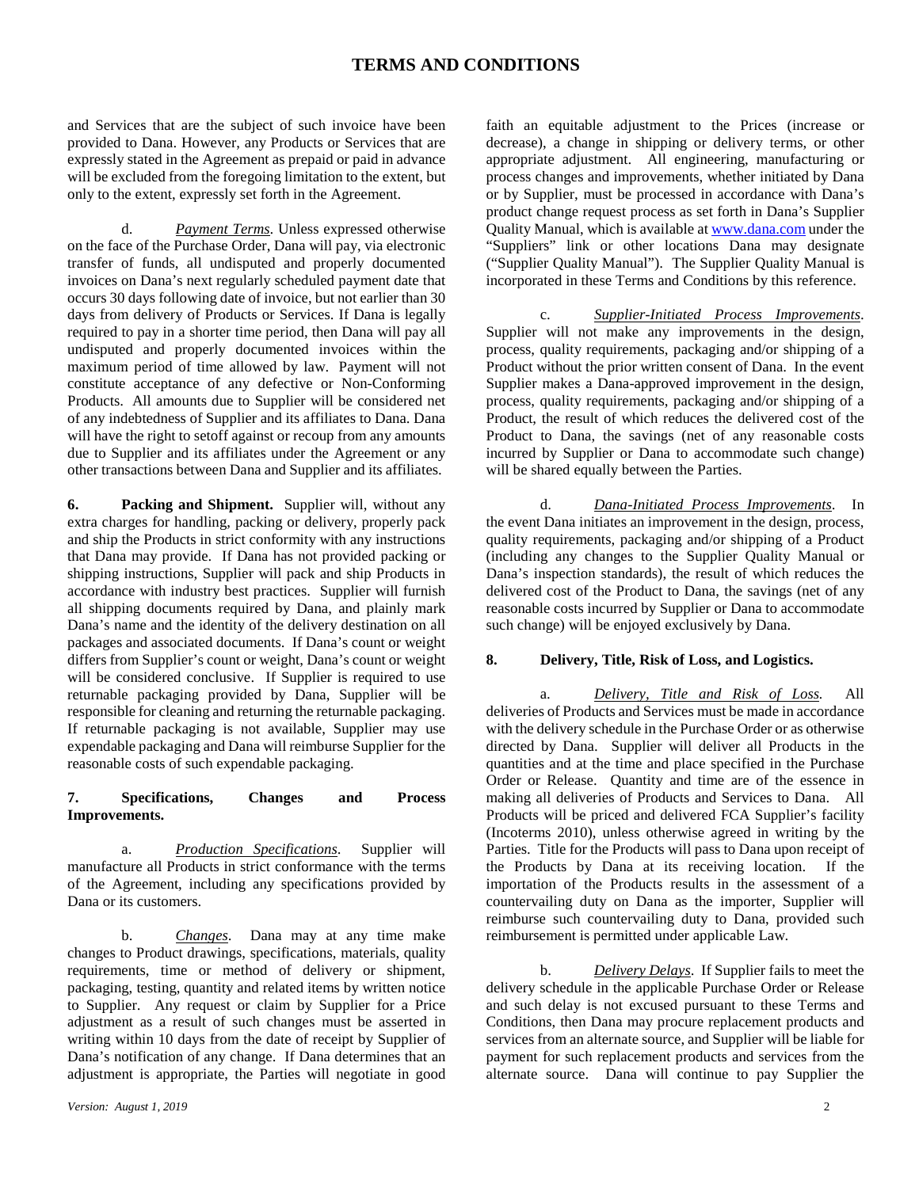and Services that are the subject of such invoice have been provided to Dana. However, any Products or Services that are expressly stated in the Agreement as prepaid or paid in advance will be excluded from the foregoing limitation to the extent, but only to the extent, expressly set forth in the Agreement.

d. *Payment Terms*. Unless expressed otherwise on the face of the Purchase Order, Dana will pay, via electronic transfer of funds, all undisputed and properly documented invoices on Dana's next regularly scheduled payment date that occurs 30 days following date of invoice, but not earlier than 30 days from delivery of Products or Services. If Dana is legally required to pay in a shorter time period, then Dana will pay all undisputed and properly documented invoices within the maximum period of time allowed by law. Payment will not constitute acceptance of any defective or Non-Conforming Products. All amounts due to Supplier will be considered net of any indebtedness of Supplier and its affiliates to Dana. Dana will have the right to setoff against or recoup from any amounts due to Supplier and its affiliates under the Agreement or any other transactions between Dana and Supplier and its affiliates.

**6. Packing and Shipment.** Supplier will, without any extra charges for handling, packing or delivery, properly pack and ship the Products in strict conformity with any instructions that Dana may provide. If Dana has not provided packing or shipping instructions, Supplier will pack and ship Products in accordance with industry best practices. Supplier will furnish all shipping documents required by Dana, and plainly mark Dana's name and the identity of the delivery destination on all packages and associated documents. If Dana's count or weight differs from Supplier's count or weight, Dana's count or weight will be considered conclusive. If Supplier is required to use returnable packaging provided by Dana, Supplier will be responsible for cleaning and returning the returnable packaging. If returnable packaging is not available, Supplier may use expendable packaging and Dana will reimburse Supplier for the reasonable costs of such expendable packaging.

#### **7. Specifications, Changes and Process Improvements.**

a. *Production Specifications*. Supplier will manufacture all Products in strict conformance with the terms of the Agreement, including any specifications provided by Dana or its customers.

b. *Changes*. Dana may at any time make changes to Product drawings, specifications, materials, quality requirements, time or method of delivery or shipment, packaging, testing, quantity and related items by written notice to Supplier. Any request or claim by Supplier for a Price adjustment as a result of such changes must be asserted in writing within 10 days from the date of receipt by Supplier of Dana's notification of any change. If Dana determines that an adjustment is appropriate, the Parties will negotiate in good

faith an equitable adjustment to the Prices (increase or decrease), a change in shipping or delivery terms, or other appropriate adjustment. All engineering, manufacturing or process changes and improvements, whether initiated by Dana or by Supplier, must be processed in accordance with Dana's product change request process as set forth in Dana's Supplier Quality Manual, which is available a[t www.dana.com](http://www.dana.com/) under the "Suppliers" link or other locations Dana may designate ("Supplier Quality Manual"). The Supplier Quality Manual is incorporated in these Terms and Conditions by this reference.

c. *Supplier-Initiated Process Improvements*. Supplier will not make any improvements in the design, process, quality requirements, packaging and/or shipping of a Product without the prior written consent of Dana. In the event Supplier makes a Dana-approved improvement in the design, process, quality requirements, packaging and/or shipping of a Product, the result of which reduces the delivered cost of the Product to Dana, the savings (net of any reasonable costs incurred by Supplier or Dana to accommodate such change) will be shared equally between the Parties.

d. *Dana-Initiated Process Improvements*. In the event Dana initiates an improvement in the design, process, quality requirements, packaging and/or shipping of a Product (including any changes to the Supplier Quality Manual or Dana's inspection standards), the result of which reduces the delivered cost of the Product to Dana, the savings (net of any reasonable costs incurred by Supplier or Dana to accommodate such change) will be enjoyed exclusively by Dana.

#### **8. Delivery, Title, Risk of Loss, and Logistics.**

a. *Delivery, Title and Risk of Loss.* All deliveries of Products and Services must be made in accordance with the delivery schedule in the Purchase Order or as otherwise directed by Dana. Supplier will deliver all Products in the quantities and at the time and place specified in the Purchase Order or Release. Quantity and time are of the essence in making all deliveries of Products and Services to Dana. All Products will be priced and delivered FCA Supplier's facility (Incoterms 2010), unless otherwise agreed in writing by the Parties. Title for the Products will pass to Dana upon receipt of the Products by Dana at its receiving location. If the importation of the Products results in the assessment of a countervailing duty on Dana as the importer, Supplier will reimburse such countervailing duty to Dana, provided such reimbursement is permitted under applicable Law.

b. *Delivery Delays*. If Supplier fails to meet the delivery schedule in the applicable Purchase Order or Release and such delay is not excused pursuant to these Terms and Conditions, then Dana may procure replacement products and services from an alternate source, and Supplier will be liable for payment for such replacement products and services from the alternate source. Dana will continue to pay Supplier the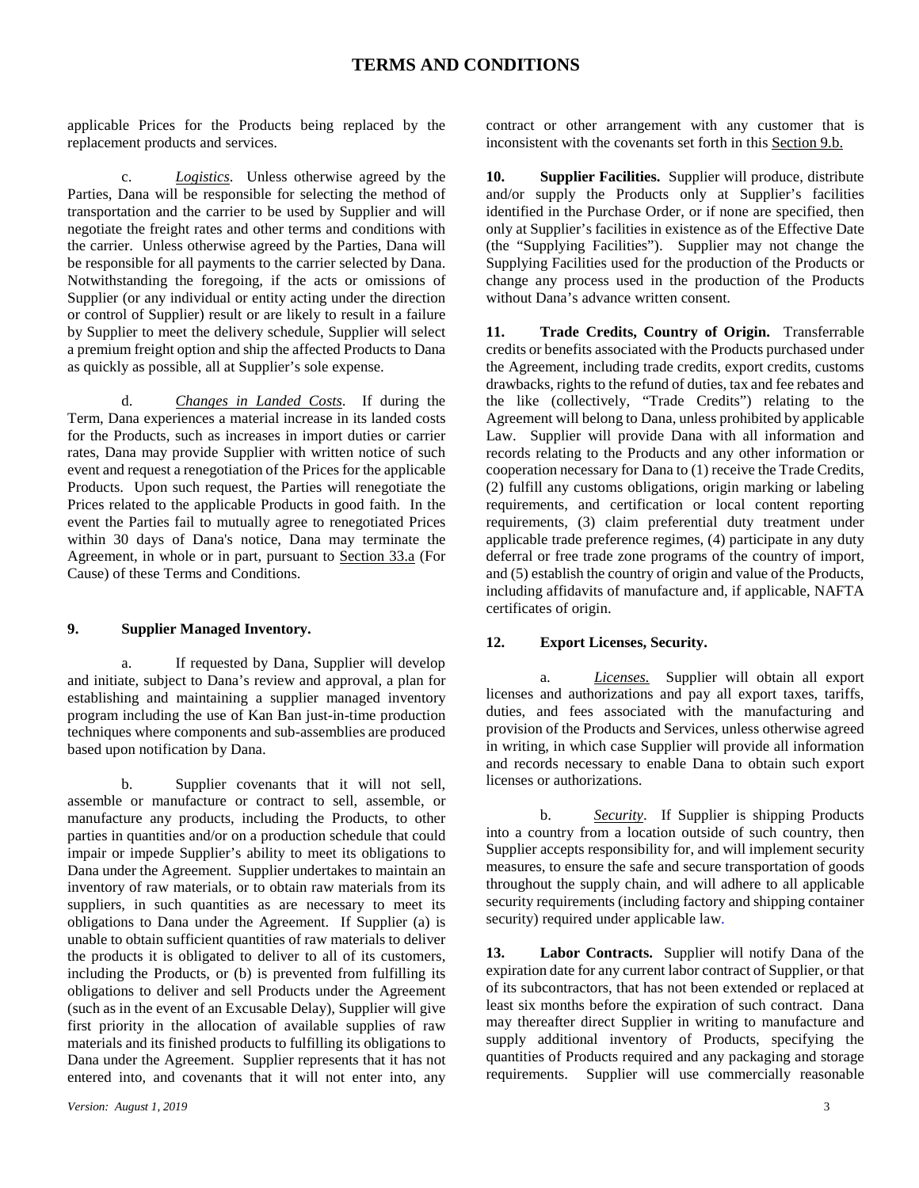applicable Prices for the Products being replaced by the replacement products and services.

c. *Logistics*. Unless otherwise agreed by the Parties, Dana will be responsible for selecting the method of transportation and the carrier to be used by Supplier and will negotiate the freight rates and other terms and conditions with the carrier. Unless otherwise agreed by the Parties, Dana will be responsible for all payments to the carrier selected by Dana. Notwithstanding the foregoing, if the acts or omissions of Supplier (or any individual or entity acting under the direction or control of Supplier) result or are likely to result in a failure by Supplier to meet the delivery schedule, Supplier will select a premium freight option and ship the affected Products to Dana as quickly as possible, all at Supplier's sole expense.

d. *Changes in Landed Costs*. If during the Term, Dana experiences a material increase in its landed costs for the Products, such as increases in import duties or carrier rates, Dana may provide Supplier with written notice of such event and request a renegotiation of the Prices for the applicable Products. Upon such request, the Parties will renegotiate the Prices related to the applicable Products in good faith. In the event the Parties fail to mutually agree to renegotiated Prices within 30 days of Dana's notice, Dana may terminate the Agreement, in whole or in part, pursuant to Section 33.a (For Cause) of these Terms and Conditions.

### **9. Supplier Managed Inventory.**

a. If requested by Dana, Supplier will develop and initiate, subject to Dana's review and approval, a plan for establishing and maintaining a supplier managed inventory program including the use of Kan Ban just-in-time production techniques where components and sub-assemblies are produced based upon notification by Dana.

b. Supplier covenants that it will not sell, assemble or manufacture or contract to sell, assemble, or manufacture any products, including the Products, to other parties in quantities and/or on a production schedule that could impair or impede Supplier's ability to meet its obligations to Dana under the Agreement. Supplier undertakes to maintain an inventory of raw materials, or to obtain raw materials from its suppliers, in such quantities as are necessary to meet its obligations to Dana under the Agreement. If Supplier (a) is unable to obtain sufficient quantities of raw materials to deliver the products it is obligated to deliver to all of its customers, including the Products, or (b) is prevented from fulfilling its obligations to deliver and sell Products under the Agreement (such as in the event of an Excusable Delay), Supplier will give first priority in the allocation of available supplies of raw materials and its finished products to fulfilling its obligations to Dana under the Agreement. Supplier represents that it has not entered into, and covenants that it will not enter into, any

contract or other arrangement with any customer that is inconsistent with the covenants set forth in this Section 9.b.

**10. Supplier Facilities.** Supplier will produce, distribute and/or supply the Products only at Supplier's facilities identified in the Purchase Order, or if none are specified, then only at Supplier's facilities in existence as of the Effective Date (the "Supplying Facilities"). Supplier may not change the Supplying Facilities used for the production of the Products or change any process used in the production of the Products without Dana's advance written consent.

**11. Trade Credits, Country of Origin.** Transferrable credits or benefits associated with the Products purchased under the Agreement, including trade credits, export credits, customs drawbacks, rights to the refund of duties, tax and fee rebates and the like (collectively, "Trade Credits") relating to the Agreement will belong to Dana, unless prohibited by applicable Law. Supplier will provide Dana with all information and records relating to the Products and any other information or cooperation necessary for Dana to (1) receive the Trade Credits, (2) fulfill any customs obligations, origin marking or labeling requirements, and certification or local content reporting requirements, (3) claim preferential duty treatment under applicable trade preference regimes, (4) participate in any duty deferral or free trade zone programs of the country of import, and (5) establish the country of origin and value of the Products, including affidavits of manufacture and, if applicable, NAFTA certificates of origin.

#### **12. Export Licenses, Security.**

a. *Licenses.* Supplier will obtain all export licenses and authorizations and pay all export taxes, tariffs, duties, and fees associated with the manufacturing and provision of the Products and Services, unless otherwise agreed in writing, in which case Supplier will provide all information and records necessary to enable Dana to obtain such export licenses or authorizations.

b. *Security*. If Supplier is shipping Products into a country from a location outside of such country, then Supplier accepts responsibility for, and will implement security measures, to ensure the safe and secure transportation of goods throughout the supply chain, and will adhere to all applicable security requirements (including factory and shipping container security) required under applicable law.

**13. Labor Contracts.** Supplier will notify Dana of the expiration date for any current labor contract of Supplier, or that of its subcontractors, that has not been extended or replaced at least six months before the expiration of such contract. Dana may thereafter direct Supplier in writing to manufacture and supply additional inventory of Products, specifying the quantities of Products required and any packaging and storage requirements. Supplier will use commercially reasonable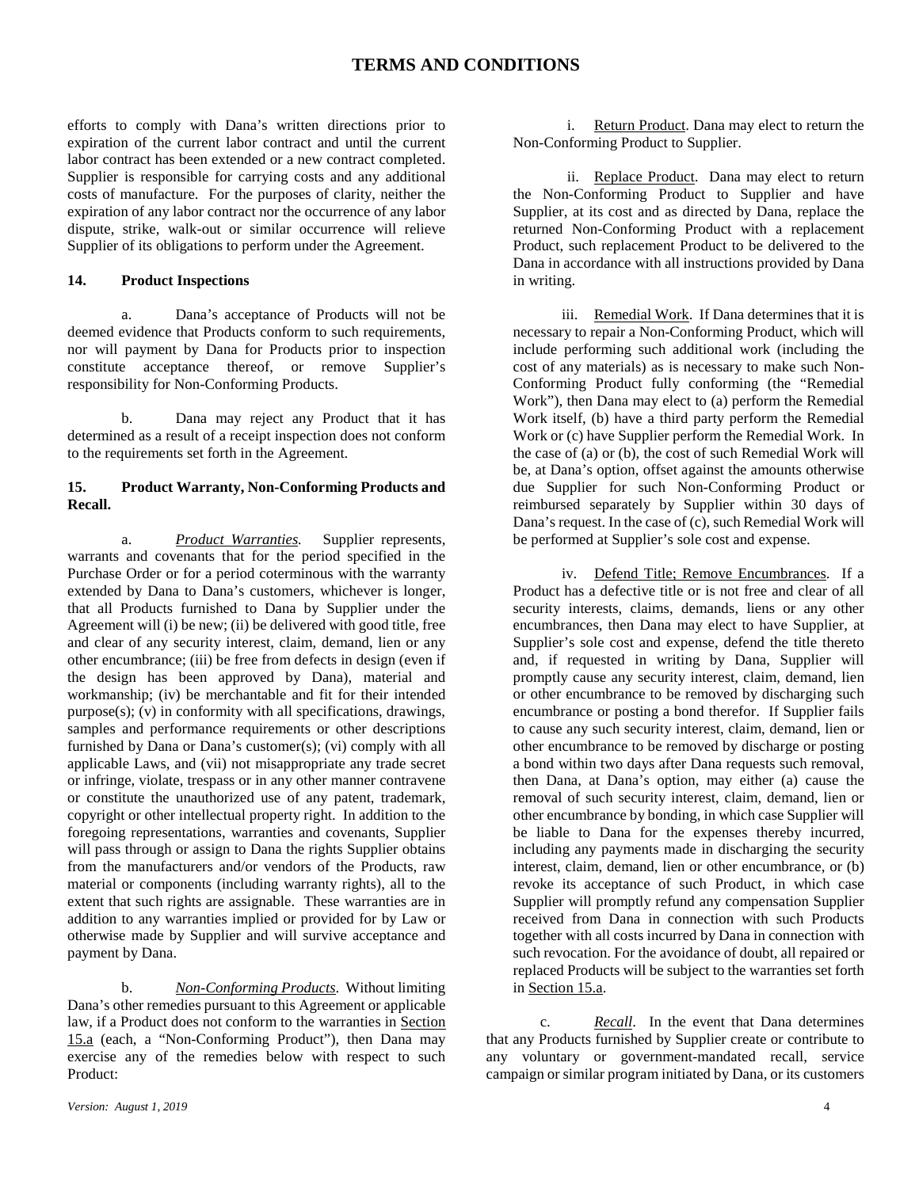efforts to comply with Dana's written directions prior to expiration of the current labor contract and until the current labor contract has been extended or a new contract completed. Supplier is responsible for carrying costs and any additional costs of manufacture. For the purposes of clarity, neither the expiration of any labor contract nor the occurrence of any labor dispute, strike, walk-out or similar occurrence will relieve Supplier of its obligations to perform under the Agreement.

#### **14. Product Inspections**

a. Dana's acceptance of Products will not be deemed evidence that Products conform to such requirements, nor will payment by Dana for Products prior to inspection constitute acceptance thereof, or remove Supplier's responsibility for Non-Conforming Products.

b. Dana may reject any Product that it has determined as a result of a receipt inspection does not conform to the requirements set forth in the Agreement.

#### **15. Product Warranty, Non-Conforming Products and Recall.**

a. *Product Warranties.* Supplier represents, warrants and covenants that for the period specified in the Purchase Order or for a period coterminous with the warranty extended by Dana to Dana's customers, whichever is longer, that all Products furnished to Dana by Supplier under the Agreement will (i) be new; (ii) be delivered with good title, free and clear of any security interest, claim, demand, lien or any other encumbrance; (iii) be free from defects in design (even if the design has been approved by Dana), material and workmanship; (iv) be merchantable and fit for their intended purpose(s); (v) in conformity with all specifications, drawings, samples and performance requirements or other descriptions furnished by Dana or Dana's customer(s); (vi) comply with all applicable Laws, and (vii) not misappropriate any trade secret or infringe, violate, trespass or in any other manner contravene or constitute the unauthorized use of any patent, trademark, copyright or other intellectual property right. In addition to the foregoing representations, warranties and covenants, Supplier will pass through or assign to Dana the rights Supplier obtains from the manufacturers and/or vendors of the Products, raw material or components (including warranty rights), all to the extent that such rights are assignable. These warranties are in addition to any warranties implied or provided for by Law or otherwise made by Supplier and will survive acceptance and payment by Dana.

b. *Non-Conforming Products*. Without limiting Dana's other remedies pursuant to this Agreement or applicable law, if a Product does not conform to the warranties in Section 15.a (each, a "Non-Conforming Product"), then Dana may exercise any of the remedies below with respect to such Product:

ii. Replace Product. Dana may elect to return the Non-Conforming Product to Supplier and have Supplier, at its cost and as directed by Dana, replace the returned Non-Conforming Product with a replacement Product, such replacement Product to be delivered to the Dana in accordance with all instructions provided by Dana in writing.

iii. Remedial Work. If Dana determines that it is necessary to repair a Non-Conforming Product, which will include performing such additional work (including the cost of any materials) as is necessary to make such Non-Conforming Product fully conforming (the "Remedial Work"), then Dana may elect to (a) perform the Remedial Work itself, (b) have a third party perform the Remedial Work or (c) have Supplier perform the Remedial Work. In the case of (a) or (b), the cost of such Remedial Work will be, at Dana's option, offset against the amounts otherwise due Supplier for such Non-Conforming Product or reimbursed separately by Supplier within 30 days of Dana's request. In the case of (c), such Remedial Work will be performed at Supplier's sole cost and expense.

iv. Defend Title; Remove Encumbrances. If a Product has a defective title or is not free and clear of all security interests, claims, demands, liens or any other encumbrances, then Dana may elect to have Supplier, at Supplier's sole cost and expense, defend the title thereto and, if requested in writing by Dana, Supplier will promptly cause any security interest, claim, demand, lien or other encumbrance to be removed by discharging such encumbrance or posting a bond therefor. If Supplier fails to cause any such security interest, claim, demand, lien or other encumbrance to be removed by discharge or posting a bond within two days after Dana requests such removal, then Dana, at Dana's option, may either (a) cause the removal of such security interest, claim, demand, lien or other encumbrance by bonding, in which case Supplier will be liable to Dana for the expenses thereby incurred, including any payments made in discharging the security interest, claim, demand, lien or other encumbrance, or (b) revoke its acceptance of such Product, in which case Supplier will promptly refund any compensation Supplier received from Dana in connection with such Products together with all costs incurred by Dana in connection with such revocation. For the avoidance of doubt, all repaired or replaced Products will be subject to the warranties set forth in Section 15.a.

c. *Recall*. In the event that Dana determines that any Products furnished by Supplier create or contribute to any voluntary or government-mandated recall, service campaign or similar program initiated by Dana, or its customers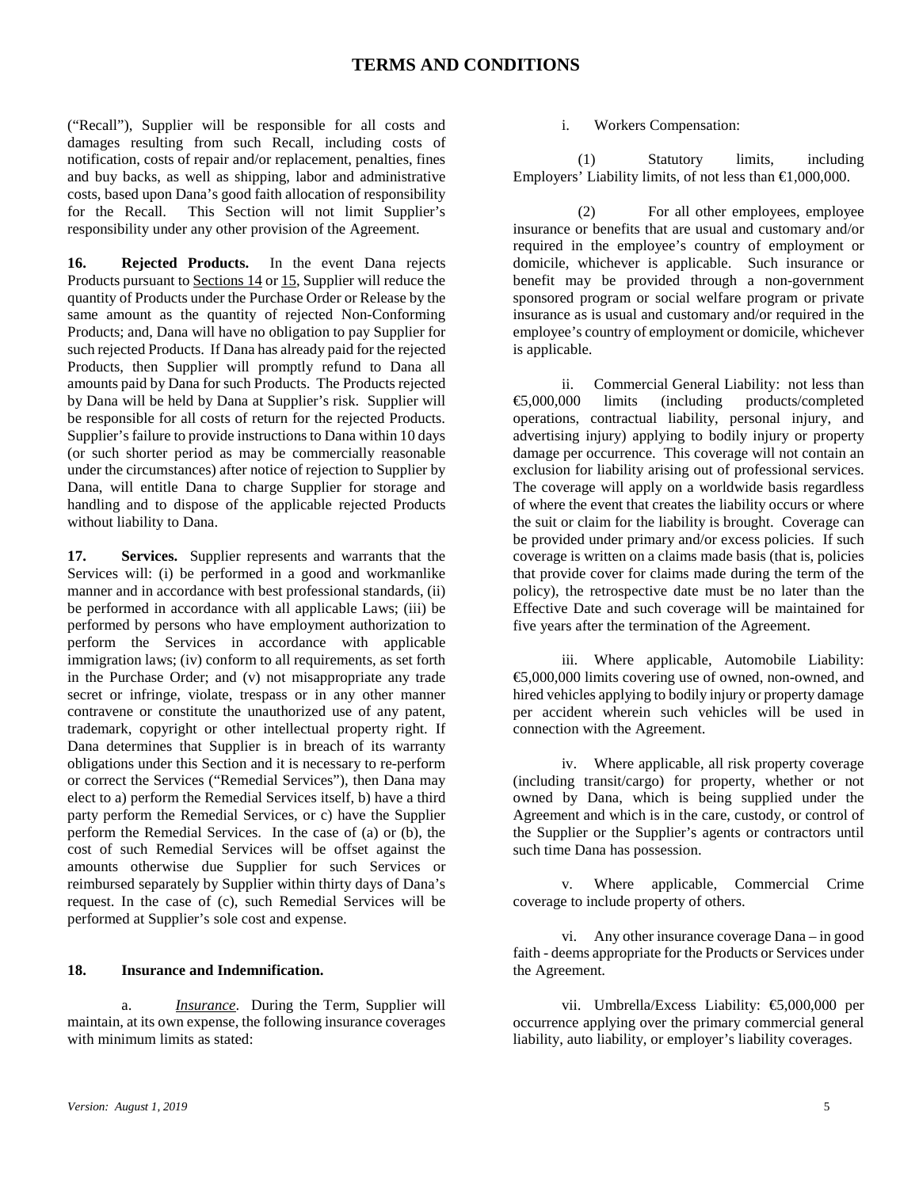("Recall"), Supplier will be responsible for all costs and damages resulting from such Recall, including costs of notification, costs of repair and/or replacement, penalties, fines and buy backs, as well as shipping, labor and administrative costs, based upon Dana's good faith allocation of responsibility for the Recall. This Section will not limit Supplier's responsibility under any other provision of the Agreement.

**16. Rejected Products.** In the event Dana rejects Products pursuant to Sections 14 or 15, Supplier will reduce the quantity of Products under the Purchase Order or Release by the same amount as the quantity of rejected Non-Conforming Products; and, Dana will have no obligation to pay Supplier for such rejected Products. If Dana has already paid for the rejected Products, then Supplier will promptly refund to Dana all amounts paid by Dana for such Products. The Products rejected by Dana will be held by Dana at Supplier's risk. Supplier will be responsible for all costs of return for the rejected Products. Supplier's failure to provide instructions to Dana within 10 days (or such shorter period as may be commercially reasonable under the circumstances) after notice of rejection to Supplier by Dana, will entitle Dana to charge Supplier for storage and handling and to dispose of the applicable rejected Products without liability to Dana.

**17. Services.** Supplier represents and warrants that the Services will: (i) be performed in a good and workmanlike manner and in accordance with best professional standards, (ii) be performed in accordance with all applicable Laws; (iii) be performed by persons who have employment authorization to perform the Services in accordance with applicable immigration laws; (iv) conform to all requirements, as set forth in the Purchase Order; and (v) not misappropriate any trade secret or infringe, violate, trespass or in any other manner contravene or constitute the unauthorized use of any patent, trademark, copyright or other intellectual property right. If Dana determines that Supplier is in breach of its warranty obligations under this Section and it is necessary to re-perform or correct the Services ("Remedial Services"), then Dana may elect to a) perform the Remedial Services itself, b) have a third party perform the Remedial Services, or c) have the Supplier perform the Remedial Services. In the case of (a) or (b), the cost of such Remedial Services will be offset against the amounts otherwise due Supplier for such Services or reimbursed separately by Supplier within thirty days of Dana's request. In the case of (c), such Remedial Services will be performed at Supplier's sole cost and expense.

#### **18. Insurance and Indemnification.**

a. *Insurance*. During the Term, Supplier will maintain, at its own expense, the following insurance coverages with minimum limits as stated:

#### i. Workers Compensation:

(1) Statutory limits, including Employers' Liability limits, of not less than €1,000,000.

(2) For all other employees, employee insurance or benefits that are usual and customary and/or required in the employee's country of employment or domicile, whichever is applicable. Such insurance or benefit may be provided through a non-government sponsored program or social welfare program or private insurance as is usual and customary and/or required in the employee's country of employment or domicile, whichever is applicable.

ii. Commercial General Liability: not less than<br>  $\textcircled{\textbf{s}}$ .000.000 limits (including products/completed limits (including products/completed operations, contractual liability, personal injury, and advertising injury) applying to bodily injury or property damage per occurrence. This coverage will not contain an exclusion for liability arising out of professional services. The coverage will apply on a worldwide basis regardless of where the event that creates the liability occurs or where the suit or claim for the liability is brought. Coverage can be provided under primary and/or excess policies. If such coverage is written on a claims made basis (that is, policies that provide cover for claims made during the term of the policy), the retrospective date must be no later than the Effective Date and such coverage will be maintained for five years after the termination of the Agreement.

iii. Where applicable, Automobile Liability: €5,000,000 limits covering use of owned, non-owned, and hired vehicles applying to bodily injury or property damage per accident wherein such vehicles will be used in connection with the Agreement.

iv. Where applicable, all risk property coverage (including transit/cargo) for property, whether or not owned by Dana, which is being supplied under the Agreement and which is in the care, custody, or control of the Supplier or the Supplier's agents or contractors until such time Dana has possession.

v. Where applicable, Commercial Crime coverage to include property of others.

vi. Any other insurance coverage Dana – in good faith - deems appropriate for the Products or Services under the Agreement.

vii. Umbrella/Excess Liability: €5,000,000 per occurrence applying over the primary commercial general liability, auto liability, or employer's liability coverages.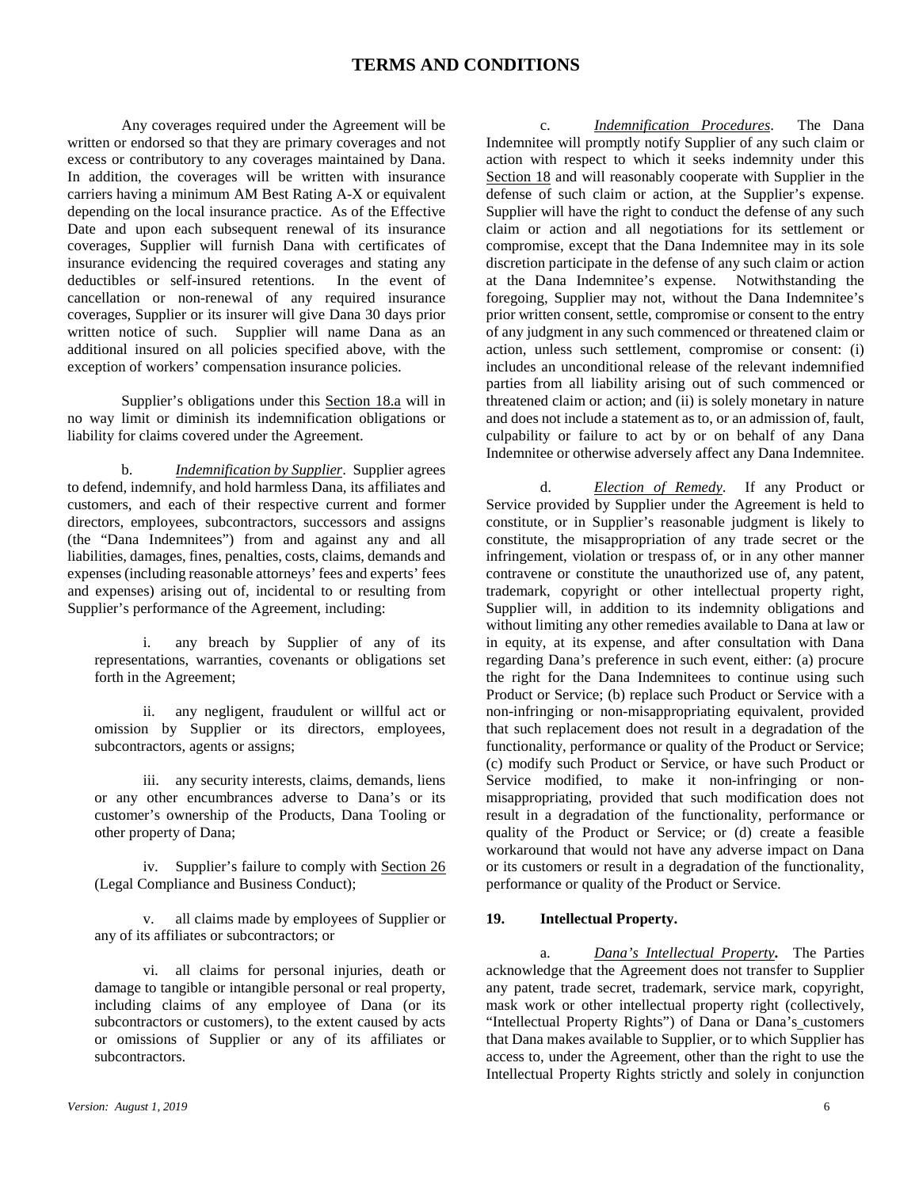Any coverages required under the Agreement will be written or endorsed so that they are primary coverages and not excess or contributory to any coverages maintained by Dana. In addition, the coverages will be written with insurance carriers having a minimum AM Best Rating A-X or equivalent depending on the local insurance practice. As of the Effective Date and upon each subsequent renewal of its insurance coverages, Supplier will furnish Dana with certificates of insurance evidencing the required coverages and stating any deductibles or self-insured retentions. In the event of cancellation or non-renewal of any required insurance coverages, Supplier or its insurer will give Dana 30 days prior written notice of such. Supplier will name Dana as an additional insured on all policies specified above, with the exception of workers' compensation insurance policies.

Supplier's obligations under this Section 18.a will in no way limit or diminish its indemnification obligations or liability for claims covered under the Agreement.

b. *Indemnification by Supplier*. Supplier agrees to defend, indemnify, and hold harmless Dana, its affiliates and customers, and each of their respective current and former directors, employees, subcontractors, successors and assigns (the "Dana Indemnitees") from and against any and all liabilities, damages, fines, penalties, costs, claims, demands and expenses (including reasonable attorneys' fees and experts' fees and expenses) arising out of, incidental to or resulting from Supplier's performance of the Agreement, including:

i. any breach by Supplier of any of its representations, warranties, covenants or obligations set forth in the Agreement;

ii. any negligent, fraudulent or willful act or omission by Supplier or its directors, employees, subcontractors, agents or assigns;

iii. any security interests, claims, demands, liens or any other encumbrances adverse to Dana's or its customer's ownership of the Products, Dana Tooling or other property of Dana;

iv. Supplier's failure to comply with Section 26 (Legal Compliance and Business Conduct);

v. all claims made by employees of Supplier or any of its affiliates or subcontractors; or

vi. all claims for personal injuries, death or damage to tangible or intangible personal or real property, including claims of any employee of Dana (or its subcontractors or customers), to the extent caused by acts or omissions of Supplier or any of its affiliates or subcontractors.

c. *Indemnification Procedures*. The Dana Indemnitee will promptly notify Supplier of any such claim or action with respect to which it seeks indemnity under this Section 18 and will reasonably cooperate with Supplier in the defense of such claim or action, at the Supplier's expense. Supplier will have the right to conduct the defense of any such claim or action and all negotiations for its settlement or compromise, except that the Dana Indemnitee may in its sole discretion participate in the defense of any such claim or action at the Dana Indemnitee's expense. Notwithstanding the foregoing, Supplier may not, without the Dana Indemnitee's prior written consent, settle, compromise or consent to the entry of any judgment in any such commenced or threatened claim or action, unless such settlement, compromise or consent: (i) includes an unconditional release of the relevant indemnified parties from all liability arising out of such commenced or threatened claim or action; and (ii) is solely monetary in nature and does not include a statement as to, or an admission of, fault, culpability or failure to act by or on behalf of any Dana Indemnitee or otherwise adversely affect any Dana Indemnitee.

d. *Election of Remedy*. If any Product or Service provided by Supplier under the Agreement is held to constitute, or in Supplier's reasonable judgment is likely to constitute, the misappropriation of any trade secret or the infringement, violation or trespass of, or in any other manner contravene or constitute the unauthorized use of, any patent, trademark, copyright or other intellectual property right, Supplier will, in addition to its indemnity obligations and without limiting any other remedies available to Dana at law or in equity, at its expense, and after consultation with Dana regarding Dana's preference in such event, either: (a) procure the right for the Dana Indemnitees to continue using such Product or Service; (b) replace such Product or Service with a non-infringing or non-misappropriating equivalent, provided that such replacement does not result in a degradation of the functionality, performance or quality of the Product or Service; (c) modify such Product or Service, or have such Product or Service modified, to make it non-infringing or nonmisappropriating, provided that such modification does not result in a degradation of the functionality, performance or quality of the Product or Service; or (d) create a feasible workaround that would not have any adverse impact on Dana or its customers or result in a degradation of the functionality, performance or quality of the Product or Service.

### **19. Intellectual Property.**

a. *Dana's Intellectual Property***.** The Parties acknowledge that the Agreement does not transfer to Supplier any patent, trade secret, trademark, service mark, copyright, mask work or other intellectual property right (collectively, "Intellectual Property Rights") of Dana or Dana's customers that Dana makes available to Supplier, or to which Supplier has access to, under the Agreement, other than the right to use the Intellectual Property Rights strictly and solely in conjunction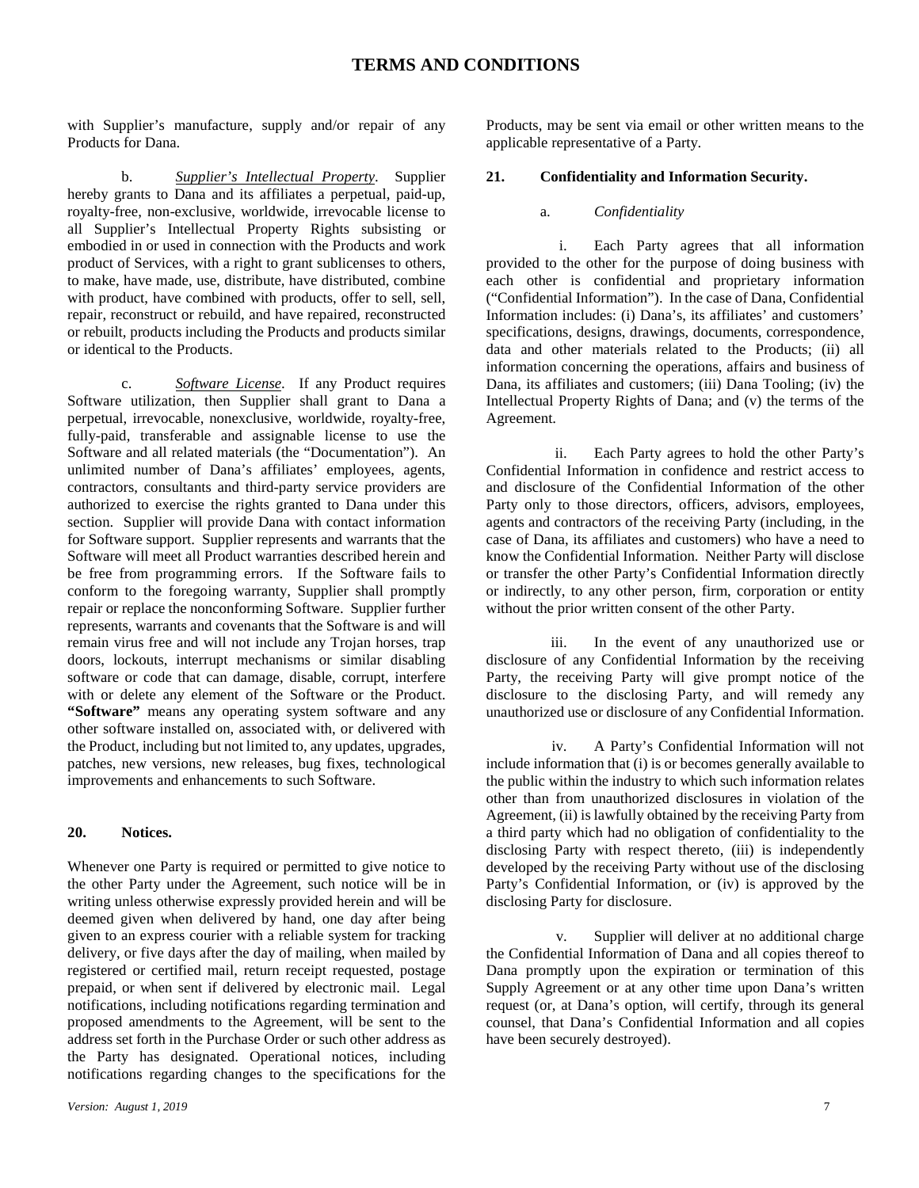with Supplier's manufacture, supply and/or repair of any Products for Dana.

b. *Supplier's Intellectual Property*. Supplier hereby grants to Dana and its affiliates a perpetual, paid-up, royalty-free, non-exclusive, worldwide, irrevocable license to all Supplier's Intellectual Property Rights subsisting or embodied in or used in connection with the Products and work product of Services, with a right to grant sublicenses to others, to make, have made, use, distribute, have distributed, combine with product, have combined with products, offer to sell, sell, repair, reconstruct or rebuild, and have repaired, reconstructed or rebuilt, products including the Products and products similar or identical to the Products.

c. *Software License*. If any Product requires Software utilization, then Supplier shall grant to Dana a perpetual, irrevocable, nonexclusive, worldwide, royalty-free, fully-paid, transferable and assignable license to use the Software and all related materials (the "Documentation"). An unlimited number of Dana's affiliates' employees, agents, contractors, consultants and third-party service providers are authorized to exercise the rights granted to Dana under this section. Supplier will provide Dana with contact information for Software support. Supplier represents and warrants that the Software will meet all Product warranties described herein and be free from programming errors. If the Software fails to conform to the foregoing warranty, Supplier shall promptly repair or replace the nonconforming Software. Supplier further represents, warrants and covenants that the Software is and will remain virus free and will not include any Trojan horses, trap doors, lockouts, interrupt mechanisms or similar disabling software or code that can damage, disable, corrupt, interfere with or delete any element of the Software or the Product. **"Software"** means any operating system software and any other software installed on, associated with, or delivered with the Product, including but not limited to, any updates, upgrades, patches, new versions, new releases, bug fixes, technological improvements and enhancements to such Software.

#### **20. Notices.**

Whenever one Party is required or permitted to give notice to the other Party under the Agreement, such notice will be in writing unless otherwise expressly provided herein and will be deemed given when delivered by hand, one day after being given to an express courier with a reliable system for tracking delivery, or five days after the day of mailing, when mailed by registered or certified mail, return receipt requested, postage prepaid, or when sent if delivered by electronic mail. Legal notifications, including notifications regarding termination and proposed amendments to the Agreement, will be sent to the address set forth in the Purchase Order or such other address as the Party has designated. Operational notices, including notifications regarding changes to the specifications for the Products, may be sent via email or other written means to the applicable representative of a Party.

#### **21. Confidentiality and Information Security.**

#### a. *Confidentiality*

i. Each Party agrees that all information provided to the other for the purpose of doing business with each other is confidential and proprietary information ("Confidential Information"). In the case of Dana, Confidential Information includes: (i) Dana's, its affiliates' and customers' specifications, designs, drawings, documents, correspondence, data and other materials related to the Products; (ii) all information concerning the operations, affairs and business of Dana, its affiliates and customers; (iii) Dana Tooling; (iv) the Intellectual Property Rights of Dana; and (v) the terms of the Agreement.

ii. Each Party agrees to hold the other Party's Confidential Information in confidence and restrict access to and disclosure of the Confidential Information of the other Party only to those directors, officers, advisors, employees, agents and contractors of the receiving Party (including, in the case of Dana, its affiliates and customers) who have a need to know the Confidential Information. Neither Party will disclose or transfer the other Party's Confidential Information directly or indirectly, to any other person, firm, corporation or entity without the prior written consent of the other Party.

iii. In the event of any unauthorized use or disclosure of any Confidential Information by the receiving Party, the receiving Party will give prompt notice of the disclosure to the disclosing Party, and will remedy any unauthorized use or disclosure of any Confidential Information.

iv. A Party's Confidential Information will not include information that (i) is or becomes generally available to the public within the industry to which such information relates other than from unauthorized disclosures in violation of the Agreement, (ii) is lawfully obtained by the receiving Party from a third party which had no obligation of confidentiality to the disclosing Party with respect thereto, (iii) is independently developed by the receiving Party without use of the disclosing Party's Confidential Information, or (iv) is approved by the disclosing Party for disclosure.

v. Supplier will deliver at no additional charge the Confidential Information of Dana and all copies thereof to Dana promptly upon the expiration or termination of this Supply Agreement or at any other time upon Dana's written request (or, at Dana's option, will certify, through its general counsel, that Dana's Confidential Information and all copies have been securely destroyed).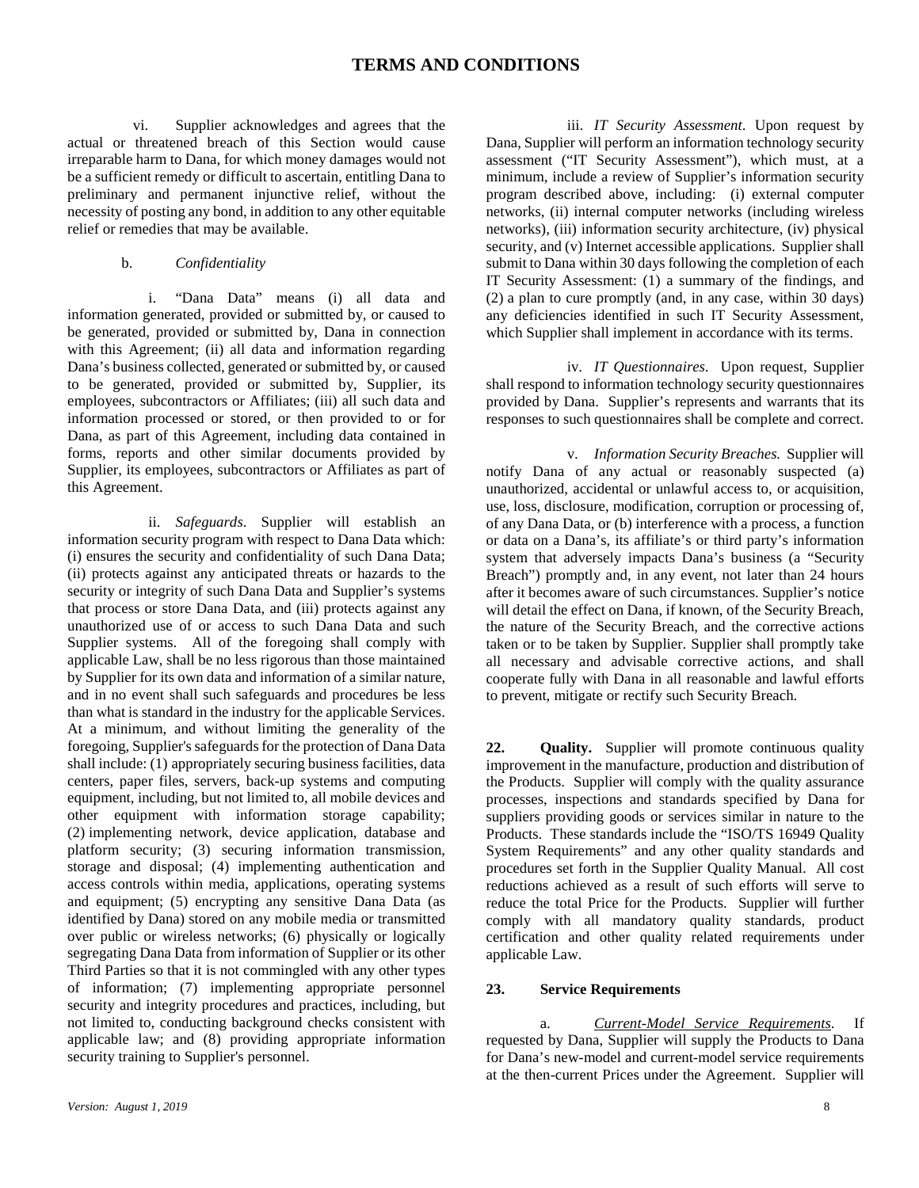vi. Supplier acknowledges and agrees that the actual or threatened breach of this Section would cause irreparable harm to Dana, for which money damages would not be a sufficient remedy or difficult to ascertain, entitling Dana to preliminary and permanent injunctive relief, without the necessity of posting any bond, in addition to any other equitable relief or remedies that may be available.

b. *Confidentiality*

i. "Dana Data" means (i) all data and information generated, provided or submitted by, or caused to be generated, provided or submitted by, Dana in connection with this Agreement; (ii) all data and information regarding Dana's business collected, generated or submitted by, or caused to be generated, provided or submitted by, Supplier, its employees, subcontractors or Affiliates; (iii) all such data and information processed or stored, or then provided to or for Dana, as part of this Agreement, including data contained in forms, reports and other similar documents provided by Supplier, its employees, subcontractors or Affiliates as part of this Agreement.

ii. *Safeguards*. Supplier will establish an information security program with respect to Dana Data which: (i) ensures the security and confidentiality of such Dana Data; (ii) protects against any anticipated threats or hazards to the security or integrity of such Dana Data and Supplier's systems that process or store Dana Data, and (iii) protects against any unauthorized use of or access to such Dana Data and such Supplier systems. All of the foregoing shall comply with applicable Law, shall be no less rigorous than those maintained by Supplier for its own data and information of a similar nature, and in no event shall such safeguards and procedures be less than what is standard in the industry for the applicable Services. At a minimum, and without limiting the generality of the foregoing, Supplier's safeguards for the protection of Dana Data shall include: (1) appropriately securing business facilities, data centers, paper files, servers, back-up systems and computing equipment, including, but not limited to, all mobile devices and other equipment with information storage capability; (2) implementing network, device application, database and platform security; (3) securing information transmission, storage and disposal; (4) implementing authentication and access controls within media, applications, operating systems and equipment; (5) encrypting any sensitive Dana Data (as identified by Dana) stored on any mobile media or transmitted over public or wireless networks; (6) physically or logically segregating Dana Data from information of Supplier or its other Third Parties so that it is not commingled with any other types of information; (7) implementing appropriate personnel security and integrity procedures and practices, including, but not limited to, conducting background checks consistent with applicable law; and (8) providing appropriate information security training to Supplier's personnel.

iii. *IT Security Assessment*. Upon request by Dana, Supplier will perform an information technology security assessment ("IT Security Assessment"), which must, at a minimum, include a review of Supplier's information security program described above, including: (i) external computer networks, (ii) internal computer networks (including wireless networks), (iii) information security architecture, (iv) physical security, and (v) Internet accessible applications. Supplier shall submit to Dana within 30 days following the completion of each IT Security Assessment: (1) a summary of the findings, and (2) a plan to cure promptly (and, in any case, within 30 days) any deficiencies identified in such IT Security Assessment, which Supplier shall implement in accordance with its terms.

iv. *IT Questionnaires*. Upon request, Supplier shall respond to information technology security questionnaires provided by Dana. Supplier's represents and warrants that its responses to such questionnaires shall be complete and correct.

v. *Information Security Breaches.* Supplier will notify Dana of any actual or reasonably suspected (a) unauthorized, accidental or unlawful access to, or acquisition, use, loss, disclosure, modification, corruption or processing of, of any Dana Data, or (b) interference with a process, a function or data on a Dana's, its affiliate's or third party's information system that adversely impacts Dana's business (a "Security Breach") promptly and, in any event, not later than 24 hours after it becomes aware of such circumstances. Supplier's notice will detail the effect on Dana, if known, of the Security Breach, the nature of the Security Breach, and the corrective actions taken or to be taken by Supplier. Supplier shall promptly take all necessary and advisable corrective actions, and shall cooperate fully with Dana in all reasonable and lawful efforts to prevent, mitigate or rectify such Security Breach.

**22. Quality.** Supplier will promote continuous quality improvement in the manufacture, production and distribution of the Products. Supplier will comply with the quality assurance processes, inspections and standards specified by Dana for suppliers providing goods or services similar in nature to the Products. These standards include the "ISO/TS 16949 Quality System Requirements" and any other quality standards and procedures set forth in the Supplier Quality Manual. All cost reductions achieved as a result of such efforts will serve to reduce the total Price for the Products. Supplier will further comply with all mandatory quality standards, product certification and other quality related requirements under applicable Law.

### **23. Service Requirements**

a. *Current-Model Service Requirements*. If requested by Dana, Supplier will supply the Products to Dana for Dana's new-model and current-model service requirements at the then-current Prices under the Agreement. Supplier will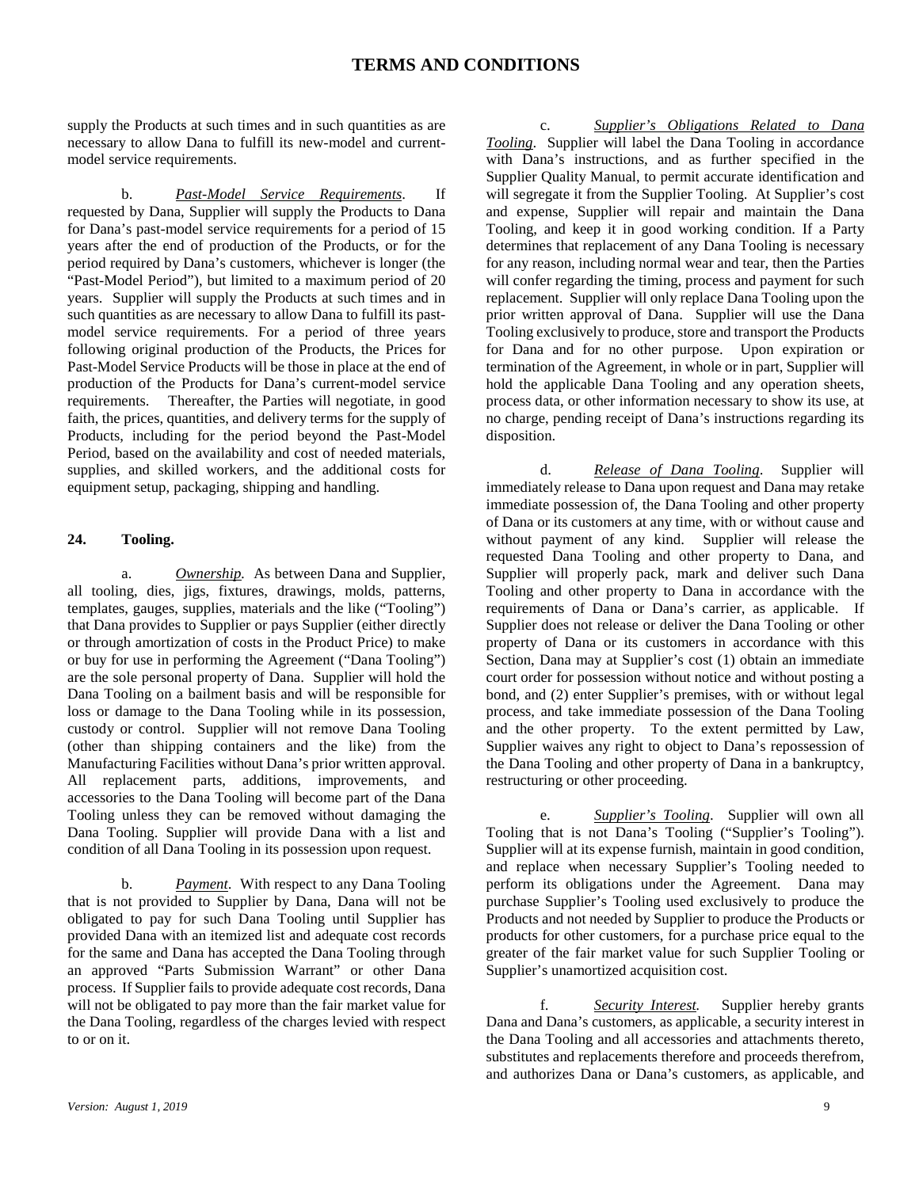supply the Products at such times and in such quantities as are necessary to allow Dana to fulfill its new-model and currentmodel service requirements.

b. *Past-Model Service Requirements*. If requested by Dana, Supplier will supply the Products to Dana for Dana's past-model service requirements for a period of 15 years after the end of production of the Products, or for the period required by Dana's customers, whichever is longer (the "Past-Model Period"), but limited to a maximum period of 20 years. Supplier will supply the Products at such times and in such quantities as are necessary to allow Dana to fulfill its pastmodel service requirements. For a period of three years following original production of the Products, the Prices for Past-Model Service Products will be those in place at the end of production of the Products for Dana's current-model service requirements. Thereafter, the Parties will negotiate, in good faith, the prices, quantities, and delivery terms for the supply of Products, including for the period beyond the Past-Model Period, based on the availability and cost of needed materials, supplies, and skilled workers, and the additional costs for equipment setup, packaging, shipping and handling.

### **24. Tooling.**

a. *Ownership.* As between Dana and Supplier, all tooling, dies, jigs, fixtures, drawings, molds, patterns, templates, gauges, supplies, materials and the like ("Tooling") that Dana provides to Supplier or pays Supplier (either directly or through amortization of costs in the Product Price) to make or buy for use in performing the Agreement ("Dana Tooling") are the sole personal property of Dana. Supplier will hold the Dana Tooling on a bailment basis and will be responsible for loss or damage to the Dana Tooling while in its possession, custody or control. Supplier will not remove Dana Tooling (other than shipping containers and the like) from the Manufacturing Facilities without Dana's prior written approval. All replacement parts, additions, improvements, and accessories to the Dana Tooling will become part of the Dana Tooling unless they can be removed without damaging the Dana Tooling. Supplier will provide Dana with a list and condition of all Dana Tooling in its possession upon request.

b. *Payment*. With respect to any Dana Tooling that is not provided to Supplier by Dana, Dana will not be obligated to pay for such Dana Tooling until Supplier has provided Dana with an itemized list and adequate cost records for the same and Dana has accepted the Dana Tooling through an approved "Parts Submission Warrant" or other Dana process. If Supplier fails to provide adequate cost records, Dana will not be obligated to pay more than the fair market value for the Dana Tooling, regardless of the charges levied with respect to or on it.

c. *Supplier's Obligations Related to Dana Tooling*. Supplier will label the Dana Tooling in accordance with Dana's instructions, and as further specified in the Supplier Quality Manual, to permit accurate identification and will segregate it from the Supplier Tooling. At Supplier's cost and expense, Supplier will repair and maintain the Dana Tooling, and keep it in good working condition. If a Party determines that replacement of any Dana Tooling is necessary for any reason, including normal wear and tear, then the Parties will confer regarding the timing, process and payment for such replacement. Supplier will only replace Dana Tooling upon the prior written approval of Dana. Supplier will use the Dana Tooling exclusively to produce, store and transport the Products for Dana and for no other purpose. Upon expiration or termination of the Agreement, in whole or in part, Supplier will hold the applicable Dana Tooling and any operation sheets, process data, or other information necessary to show its use, at no charge, pending receipt of Dana's instructions regarding its disposition.

d. *Release of Dana Tooling*. Supplier will immediately release to Dana upon request and Dana may retake immediate possession of, the Dana Tooling and other property of Dana or its customers at any time, with or without cause and without payment of any kind. Supplier will release the requested Dana Tooling and other property to Dana, and Supplier will properly pack, mark and deliver such Dana Tooling and other property to Dana in accordance with the requirements of Dana or Dana's carrier, as applicable. If Supplier does not release or deliver the Dana Tooling or other property of Dana or its customers in accordance with this Section, Dana may at Supplier's cost (1) obtain an immediate court order for possession without notice and without posting a bond, and (2) enter Supplier's premises, with or without legal process, and take immediate possession of the Dana Tooling and the other property. To the extent permitted by Law, Supplier waives any right to object to Dana's repossession of the Dana Tooling and other property of Dana in a bankruptcy, restructuring or other proceeding.

e. *Supplier's Tooling*. Supplier will own all Tooling that is not Dana's Tooling ("Supplier's Tooling"). Supplier will at its expense furnish, maintain in good condition, and replace when necessary Supplier's Tooling needed to perform its obligations under the Agreement. Dana may purchase Supplier's Tooling used exclusively to produce the Products and not needed by Supplier to produce the Products or products for other customers, for a purchase price equal to the greater of the fair market value for such Supplier Tooling or Supplier's unamortized acquisition cost.

f. *Security Interest.* Supplier hereby grants Dana and Dana's customers, as applicable, a security interest in the Dana Tooling and all accessories and attachments thereto, substitutes and replacements therefore and proceeds therefrom, and authorizes Dana or Dana's customers, as applicable, and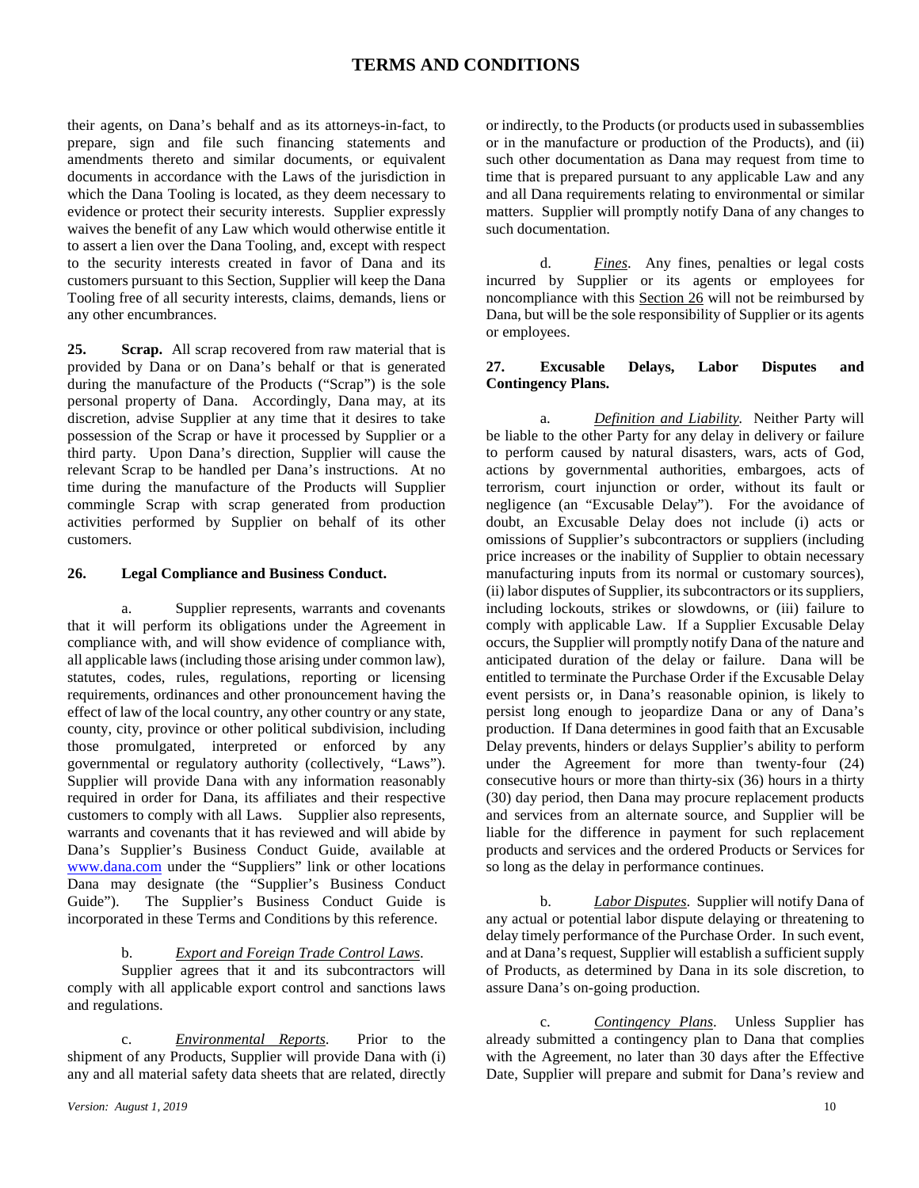their agents, on Dana's behalf and as its attorneys-in-fact, to prepare, sign and file such financing statements and amendments thereto and similar documents, or equivalent documents in accordance with the Laws of the jurisdiction in which the Dana Tooling is located, as they deem necessary to evidence or protect their security interests. Supplier expressly waives the benefit of any Law which would otherwise entitle it to assert a lien over the Dana Tooling, and, except with respect to the security interests created in favor of Dana and its customers pursuant to this Section, Supplier will keep the Dana Tooling free of all security interests, claims, demands, liens or any other encumbrances.

**25. Scrap.** All scrap recovered from raw material that is provided by Dana or on Dana's behalf or that is generated during the manufacture of the Products ("Scrap") is the sole personal property of Dana. Accordingly, Dana may, at its discretion, advise Supplier at any time that it desires to take possession of the Scrap or have it processed by Supplier or a third party. Upon Dana's direction, Supplier will cause the relevant Scrap to be handled per Dana's instructions. At no time during the manufacture of the Products will Supplier commingle Scrap with scrap generated from production activities performed by Supplier on behalf of its other customers.

### **26. Legal Compliance and Business Conduct.**

a. Supplier represents, warrants and covenants that it will perform its obligations under the Agreement in compliance with, and will show evidence of compliance with, all applicable laws (including those arising under common law), statutes, codes, rules, regulations, reporting or licensing requirements, ordinances and other pronouncement having the effect of law of the local country, any other country or any state, county, city, province or other political subdivision, including those promulgated, interpreted or enforced by any governmental or regulatory authority (collectively, "Laws"). Supplier will provide Dana with any information reasonably required in order for Dana, its affiliates and their respective customers to comply with all Laws. Supplier also represents, warrants and covenants that it has reviewed and will abide by Dana's Supplier's Business Conduct Guide, available at [www.dana.com](http://www.dana.com/) under the "Suppliers" link or other locations Dana may designate (the "Supplier's Business Conduct Guide"). The Supplier's Business Conduct Guide is incorporated in these Terms and Conditions by this reference.

b. *Export and Foreign Trade Control Laws*.

Supplier agrees that it and its subcontractors will comply with all applicable export control and sanctions laws and regulations.

c. *Environmental Reports*. Prior to the shipment of any Products, Supplier will provide Dana with (i) any and all material safety data sheets that are related, directly

or indirectly, to the Products (or products used in subassemblies or in the manufacture or production of the Products), and (ii) such other documentation as Dana may request from time to time that is prepared pursuant to any applicable Law and any and all Dana requirements relating to environmental or similar matters. Supplier will promptly notify Dana of any changes to such documentation.

d. *Fines*. Any fines, penalties or legal costs incurred by Supplier or its agents or employees for noncompliance with this Section 26 will not be reimbursed by Dana, but will be the sole responsibility of Supplier or its agents or employees.

### **27. Excusable Delays, Labor Disputes and Contingency Plans.**

a. *Definition and Liability.* Neither Party will be liable to the other Party for any delay in delivery or failure to perform caused by natural disasters, wars, acts of God, actions by governmental authorities, embargoes, acts of terrorism, court injunction or order, without its fault or negligence (an "Excusable Delay"). For the avoidance of doubt, an Excusable Delay does not include (i) acts or omissions of Supplier's subcontractors or suppliers (including price increases or the inability of Supplier to obtain necessary manufacturing inputs from its normal or customary sources), (ii) labor disputes of Supplier, its subcontractors or its suppliers, including lockouts, strikes or slowdowns, or (iii) failure to comply with applicable Law. If a Supplier Excusable Delay occurs, the Supplier will promptly notify Dana of the nature and anticipated duration of the delay or failure. Dana will be entitled to terminate the Purchase Order if the Excusable Delay event persists or, in Dana's reasonable opinion, is likely to persist long enough to jeopardize Dana or any of Dana's production. If Dana determines in good faith that an Excusable Delay prevents, hinders or delays Supplier's ability to perform under the Agreement for more than twenty-four (24) consecutive hours or more than thirty-six (36) hours in a thirty (30) day period, then Dana may procure replacement products and services from an alternate source, and Supplier will be liable for the difference in payment for such replacement products and services and the ordered Products or Services for so long as the delay in performance continues.

b. *Labor Disputes*. Supplier will notify Dana of any actual or potential labor dispute delaying or threatening to delay timely performance of the Purchase Order. In such event, and at Dana's request, Supplier will establish a sufficient supply of Products, as determined by Dana in its sole discretion, to assure Dana's on-going production.

c. *Contingency Plans*. Unless Supplier has already submitted a contingency plan to Dana that complies with the Agreement, no later than 30 days after the Effective Date, Supplier will prepare and submit for Dana's review and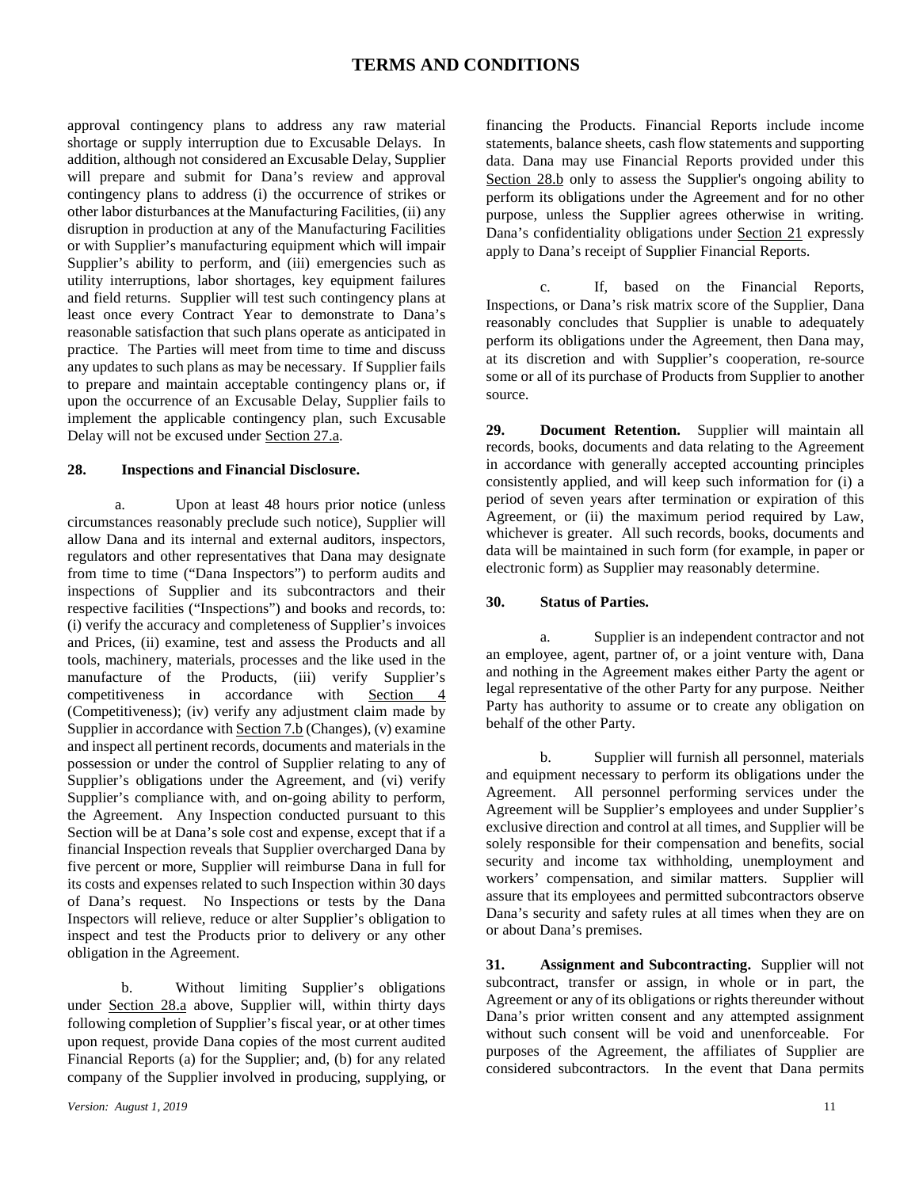approval contingency plans to address any raw material shortage or supply interruption due to Excusable Delays. In addition, although not considered an Excusable Delay, Supplier will prepare and submit for Dana's review and approval contingency plans to address (i) the occurrence of strikes or other labor disturbances at the Manufacturing Facilities, (ii) any disruption in production at any of the Manufacturing Facilities or with Supplier's manufacturing equipment which will impair Supplier's ability to perform, and (iii) emergencies such as utility interruptions, labor shortages, key equipment failures and field returns. Supplier will test such contingency plans at least once every Contract Year to demonstrate to Dana's reasonable satisfaction that such plans operate as anticipated in practice. The Parties will meet from time to time and discuss any updates to such plans as may be necessary. If Supplier fails to prepare and maintain acceptable contingency plans or, if upon the occurrence of an Excusable Delay, Supplier fails to implement the applicable contingency plan, such Excusable Delay will not be excused under Section 27.a.

#### **28. Inspections and Financial Disclosure.**

a. Upon at least 48 hours prior notice (unless circumstances reasonably preclude such notice), Supplier will allow Dana and its internal and external auditors, inspectors, regulators and other representatives that Dana may designate from time to time ("Dana Inspectors") to perform audits and inspections of Supplier and its subcontractors and their respective facilities ("Inspections") and books and records, to: (i) verify the accuracy and completeness of Supplier's invoices and Prices, (ii) examine, test and assess the Products and all tools, machinery, materials, processes and the like used in the manufacture of the Products, (iii) verify Supplier's competitiveness in accordance with Section 4 (Competitiveness); (iv) verify any adjustment claim made by Supplier in accordance with Section 7.b (Changes), (v) examine and inspect all pertinent records, documents and materials in the possession or under the control of Supplier relating to any of Supplier's obligations under the Agreement, and (vi) verify Supplier's compliance with, and on-going ability to perform, the Agreement. Any Inspection conducted pursuant to this Section will be at Dana's sole cost and expense, except that if a financial Inspection reveals that Supplier overcharged Dana by five percent or more, Supplier will reimburse Dana in full for its costs and expenses related to such Inspection within 30 days of Dana's request. No Inspections or tests by the Dana Inspectors will relieve, reduce or alter Supplier's obligation to inspect and test the Products prior to delivery or any other obligation in the Agreement.

b. Without limiting Supplier's obligations under Section 28.a above, Supplier will, within thirty days following completion of Supplier's fiscal year, or at other times upon request, provide Dana copies of the most current audited Financial Reports (a) for the Supplier; and, (b) for any related company of the Supplier involved in producing, supplying, or

financing the Products. Financial Reports include income statements, balance sheets, cash flow statements and supporting data. Dana may use Financial Reports provided under this Section 28.b only to assess the Supplier's ongoing ability to perform its obligations under the Agreement and for no other purpose, unless the Supplier agrees otherwise in writing. Dana's confidentiality obligations under Section 21 expressly apply to Dana's receipt of Supplier Financial Reports.

c. If, based on the Financial Reports, Inspections, or Dana's risk matrix score of the Supplier, Dana reasonably concludes that Supplier is unable to adequately perform its obligations under the Agreement, then Dana may, at its discretion and with Supplier's cooperation, re-source some or all of its purchase of Products from Supplier to another source.

**29. Document Retention.** Supplier will maintain all records, books, documents and data relating to the Agreement in accordance with generally accepted accounting principles consistently applied, and will keep such information for (i) a period of seven years after termination or expiration of this Agreement, or (ii) the maximum period required by Law, whichever is greater. All such records, books, documents and data will be maintained in such form (for example, in paper or electronic form) as Supplier may reasonably determine.

#### **30. Status of Parties.**

a. Supplier is an independent contractor and not an employee, agent, partner of, or a joint venture with, Dana and nothing in the Agreement makes either Party the agent or legal representative of the other Party for any purpose. Neither Party has authority to assume or to create any obligation on behalf of the other Party.

b. Supplier will furnish all personnel, materials and equipment necessary to perform its obligations under the Agreement. All personnel performing services under the Agreement will be Supplier's employees and under Supplier's exclusive direction and control at all times, and Supplier will be solely responsible for their compensation and benefits, social security and income tax withholding, unemployment and workers' compensation, and similar matters. Supplier will assure that its employees and permitted subcontractors observe Dana's security and safety rules at all times when they are on or about Dana's premises.

**31. Assignment and Subcontracting.** Supplier will not subcontract, transfer or assign, in whole or in part, the Agreement or any of its obligations or rights thereunder without Dana's prior written consent and any attempted assignment without such consent will be void and unenforceable. For purposes of the Agreement, the affiliates of Supplier are considered subcontractors. In the event that Dana permits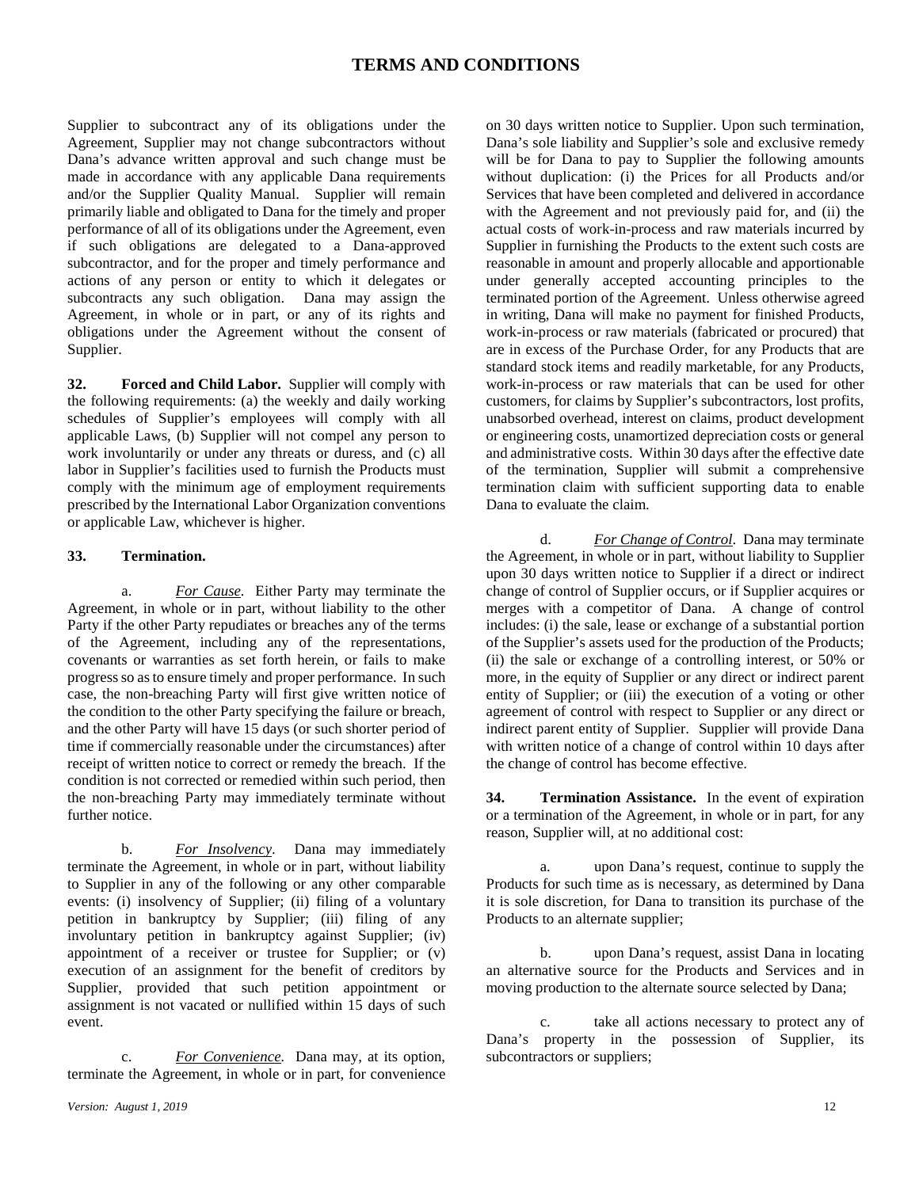Supplier to subcontract any of its obligations under the Agreement, Supplier may not change subcontractors without Dana's advance written approval and such change must be made in accordance with any applicable Dana requirements and/or the Supplier Quality Manual. Supplier will remain primarily liable and obligated to Dana for the timely and proper performance of all of its obligations under the Agreement, even if such obligations are delegated to a Dana-approved subcontractor, and for the proper and timely performance and actions of any person or entity to which it delegates or subcontracts any such obligation. Dana may assign the Agreement, in whole or in part, or any of its rights and obligations under the Agreement without the consent of Supplier.

**32. Forced and Child Labor.** Supplier will comply with the following requirements: (a) the weekly and daily working schedules of Supplier's employees will comply with all applicable Laws, (b) Supplier will not compel any person to work involuntarily or under any threats or duress, and (c) all labor in Supplier's facilities used to furnish the Products must comply with the minimum age of employment requirements prescribed by the International Labor Organization conventions or applicable Law, whichever is higher.

#### **33. Termination.**

a. *For Cause.* Either Party may terminate the Agreement, in whole or in part, without liability to the other Party if the other Party repudiates or breaches any of the terms of the Agreement, including any of the representations, covenants or warranties as set forth herein, or fails to make progress so as to ensure timely and proper performance. In such case, the non-breaching Party will first give written notice of the condition to the other Party specifying the failure or breach, and the other Party will have 15 days (or such shorter period of time if commercially reasonable under the circumstances) after receipt of written notice to correct or remedy the breach. If the condition is not corrected or remedied within such period, then the non-breaching Party may immediately terminate without further notice.

b. *For Insolvency*. Dana may immediately terminate the Agreement, in whole or in part, without liability to Supplier in any of the following or any other comparable events: (i) insolvency of Supplier; (ii) filing of a voluntary petition in bankruptcy by Supplier; (iii) filing of any involuntary petition in bankruptcy against Supplier; (iv) appointment of a receiver or trustee for Supplier; or (v) execution of an assignment for the benefit of creditors by Supplier, provided that such petition appointment or assignment is not vacated or nullified within 15 days of such event.

c. *For Convenience.* Dana may, at its option, terminate the Agreement, in whole or in part, for convenience on 30 days written notice to Supplier. Upon such termination, Dana's sole liability and Supplier's sole and exclusive remedy will be for Dana to pay to Supplier the following amounts without duplication: (i) the Prices for all Products and/or Services that have been completed and delivered in accordance with the Agreement and not previously paid for, and (ii) the actual costs of work-in-process and raw materials incurred by Supplier in furnishing the Products to the extent such costs are reasonable in amount and properly allocable and apportionable under generally accepted accounting principles to the terminated portion of the Agreement. Unless otherwise agreed in writing, Dana will make no payment for finished Products, work-in-process or raw materials (fabricated or procured) that are in excess of the Purchase Order, for any Products that are standard stock items and readily marketable, for any Products, work-in-process or raw materials that can be used for other customers, for claims by Supplier's subcontractors, lost profits, unabsorbed overhead, interest on claims, product development or engineering costs, unamortized depreciation costs or general and administrative costs. Within 30 days after the effective date of the termination, Supplier will submit a comprehensive termination claim with sufficient supporting data to enable Dana to evaluate the claim.

d. *For Change of Control*. Dana may terminate the Agreement, in whole or in part, without liability to Supplier upon 30 days written notice to Supplier if a direct or indirect change of control of Supplier occurs, or if Supplier acquires or merges with a competitor of Dana. A change of control includes: (i) the sale, lease or exchange of a substantial portion of the Supplier's assets used for the production of the Products; (ii) the sale or exchange of a controlling interest, or 50% or more, in the equity of Supplier or any direct or indirect parent entity of Supplier; or (iii) the execution of a voting or other agreement of control with respect to Supplier or any direct or indirect parent entity of Supplier. Supplier will provide Dana with written notice of a change of control within 10 days after the change of control has become effective.

**34. Termination Assistance.** In the event of expiration or a termination of the Agreement, in whole or in part, for any reason, Supplier will, at no additional cost:

a. upon Dana's request, continue to supply the Products for such time as is necessary, as determined by Dana it is sole discretion, for Dana to transition its purchase of the Products to an alternate supplier;

b. upon Dana's request, assist Dana in locating an alternative source for the Products and Services and in moving production to the alternate source selected by Dana;

c. take all actions necessary to protect any of Dana's property in the possession of Supplier, its subcontractors or suppliers;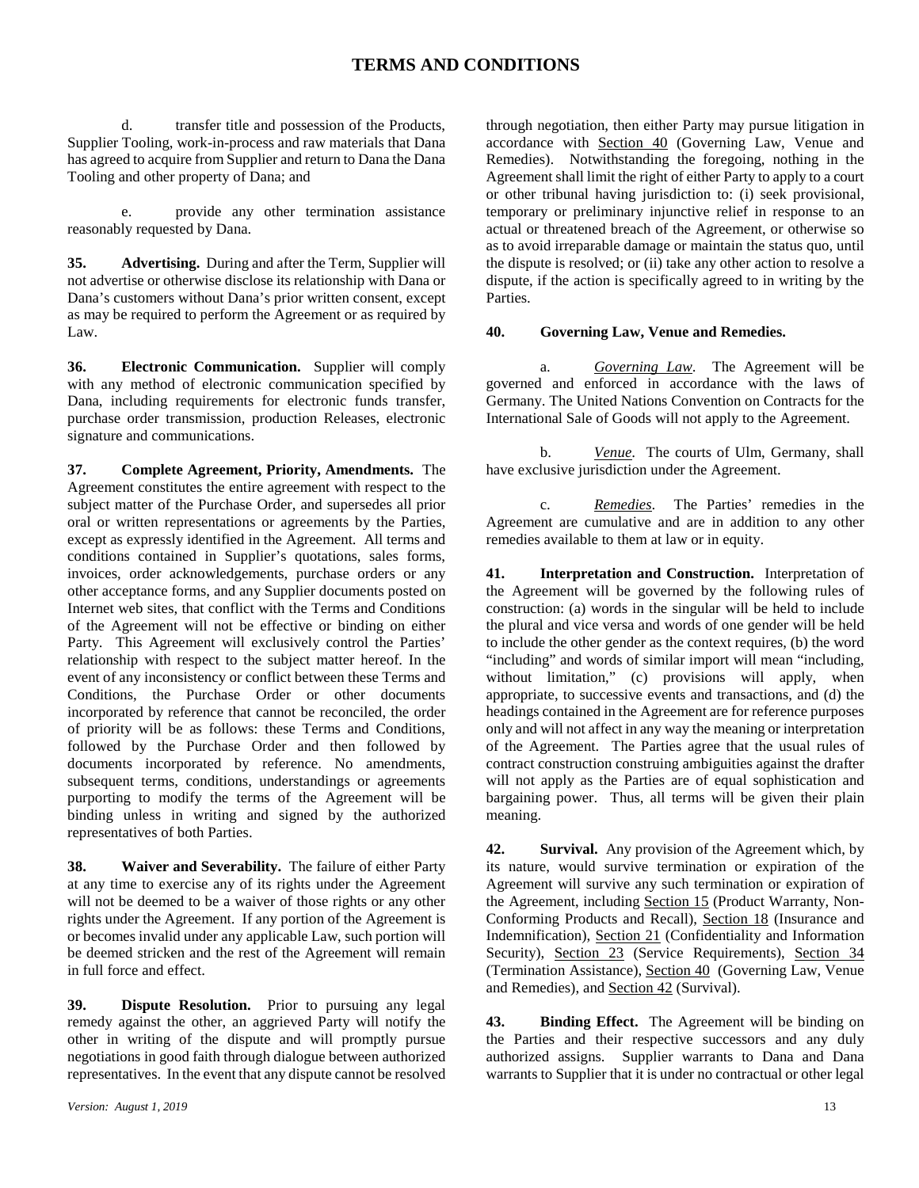d. transfer title and possession of the Products, Supplier Tooling, work-in-process and raw materials that Dana has agreed to acquire from Supplier and return to Dana the Dana Tooling and other property of Dana; and

e. provide any other termination assistance reasonably requested by Dana.

**35. Advertising.** During and after the Term, Supplier will not advertise or otherwise disclose its relationship with Dana or Dana's customers without Dana's prior written consent, except as may be required to perform the Agreement or as required by Law.

**36. Electronic Communication.** Supplier will comply with any method of electronic communication specified by Dana, including requirements for electronic funds transfer, purchase order transmission, production Releases, electronic signature and communications.

**37. Complete Agreement, Priority, Amendments.** The Agreement constitutes the entire agreement with respect to the subject matter of the Purchase Order, and supersedes all prior oral or written representations or agreements by the Parties, except as expressly identified in the Agreement. All terms and conditions contained in Supplier's quotations, sales forms, invoices, order acknowledgements, purchase orders or any other acceptance forms, and any Supplier documents posted on Internet web sites, that conflict with the Terms and Conditions of the Agreement will not be effective or binding on either Party. This Agreement will exclusively control the Parties' relationship with respect to the subject matter hereof. In the event of any inconsistency or conflict between these Terms and Conditions, the Purchase Order or other documents incorporated by reference that cannot be reconciled, the order of priority will be as follows: these Terms and Conditions, followed by the Purchase Order and then followed by documents incorporated by reference. No amendments, subsequent terms, conditions, understandings or agreements purporting to modify the terms of the Agreement will be binding unless in writing and signed by the authorized representatives of both Parties.

**38. Waiver and Severability.** The failure of either Party at any time to exercise any of its rights under the Agreement will not be deemed to be a waiver of those rights or any other rights under the Agreement. If any portion of the Agreement is or becomes invalid under any applicable Law, such portion will be deemed stricken and the rest of the Agreement will remain in full force and effect.

**39. Dispute Resolution.** Prior to pursuing any legal remedy against the other, an aggrieved Party will notify the other in writing of the dispute and will promptly pursue negotiations in good faith through dialogue between authorized representatives. In the event that any dispute cannot be resolved through negotiation, then either Party may pursue litigation in accordance with Section 40 (Governing Law, Venue and Remedies). Notwithstanding the foregoing, nothing in the Agreement shall limit the right of either Party to apply to a court or other tribunal having jurisdiction to: (i) seek provisional, temporary or preliminary injunctive relief in response to an actual or threatened breach of the Agreement, or otherwise so as to avoid irreparable damage or maintain the status quo, until the dispute is resolved; or (ii) take any other action to resolve a dispute, if the action is specifically agreed to in writing by the Parties.

#### **40. Governing Law, Venue and Remedies.**

a. *Governing Law*. The Agreement will be governed and enforced in accordance with the laws of Germany. The United Nations Convention on Contracts for the International Sale of Goods will not apply to the Agreement.

b. *Venue*. The courts of Ulm, Germany, shall have exclusive jurisdiction under the Agreement.

c. *Remedies*. The Parties' remedies in the Agreement are cumulative and are in addition to any other remedies available to them at law or in equity.

**41. Interpretation and Construction.** Interpretation of the Agreement will be governed by the following rules of construction: (a) words in the singular will be held to include the plural and vice versa and words of one gender will be held to include the other gender as the context requires, (b) the word "including" and words of similar import will mean "including, without limitation," (c) provisions will apply, when appropriate, to successive events and transactions, and (d) the headings contained in the Agreement are for reference purposes only and will not affect in any way the meaning or interpretation of the Agreement. The Parties agree that the usual rules of contract construction construing ambiguities against the drafter will not apply as the Parties are of equal sophistication and bargaining power. Thus, all terms will be given their plain meaning.

**42. Survival.** Any provision of the Agreement which, by its nature, would survive termination or expiration of the Agreement will survive any such termination or expiration of the Agreement, including Section 15 (Product Warranty, Non-Conforming Products and Recall), Section 18 (Insurance and Indemnification), Section 21 (Confidentiality and Information Security), Section 23 (Service Requirements), Section 34 (Termination Assistance), Section 40 (Governing Law, Venue and Remedies), and Section 42 (Survival).

**43. Binding Effect.** The Agreement will be binding on the Parties and their respective successors and any duly authorized assigns. Supplier warrants to Dana and Dana warrants to Supplier that it is under no contractual or other legal